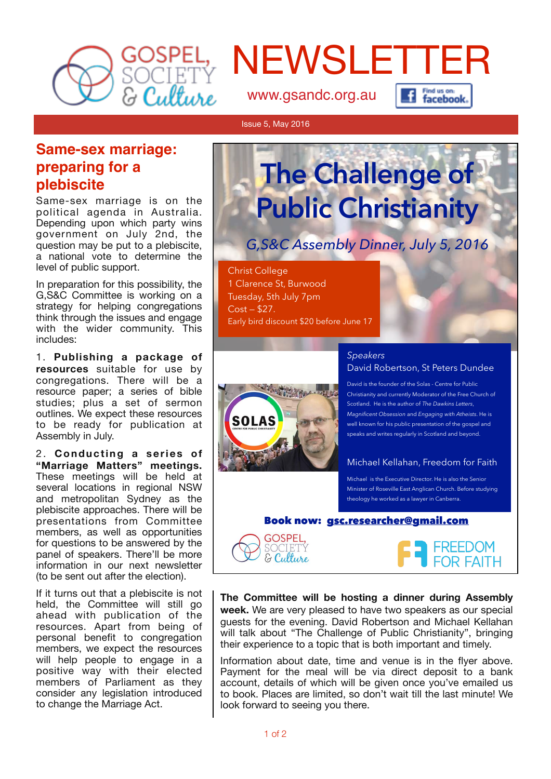

# NEWSLETTER

[www.gsandc.org.au](http://www.gsandc.org.au)



#### Issue 5, May 2016

## **Same-sex marriage: preparing for a plebiscite**

Same-sex marriage is on the political agenda in Australia. Depending upon which party wins government on July 2nd, the question may be put to a plebiscite, a national vote to determine the level of public support.

In preparation for this possibility, the G,S&C Committee is working on a strategy for helping congregations think through the issues and engage with the wider community. This includes:

1. **Publishing a package of resources** suitable for use by congregations. There will be a resource paper; a series of bible studies; plus a set of sermon outlines. We expect these resources to be ready for publication at Assembly in July.

2. **Conducting a series of "Marriage Matters" meetings.** These meetings will be held at several locations in regional NSW and metropolitan Sydney as the plebiscite approaches. There will be presentations from Committee members, as well as opportunities for questions to be answered by the panel of speakers. There'll be more information in our next newsletter (to be sent out after the election).

If it turns out that a plebiscite is not held, the Committee will still go ahead with publication of the resources. Apart from being of personal benefit to congregation members, we expect the resources will help people to engage in a positive way with their elected members of Parliament as they consider any legislation introduced to change the Marriage Act.

## The Challenge of Public Christianity

## G,S&C Assembly Dinner, July 5, 2016

Christ College 1 Clarence St, Burwood Tuesday, 5th July 7pm Cost — \$27. Early bird discount \$20 before June 17



**GOSPEL.** SOCIETY<br>**& Culture** 

#### *Speakers*  David Robertson, St Peters Dundee

David is the founder of the Solas - Centre for Public Christianity and currently Moderator of the Free Church of Scotland. He is the author of *The Dawkins Letters*, *Magnificent Obsession* and *Engaging with Atheists*. He is well known for his public presentation of the gospel and speaks and writes regularly in Scotland and beyond.

#### Michael Kellahan, Freedom for Faith

Michael is the Executive Director. He is also the Senior Minister of Roseville East Anglican Church. Before studying theology he worked as a lawyer in Canberra.

#### Book now: gsc.researcher@gmail.com



**The Committee will be hosting a dinner during Assembly week.** We are very pleased to have two speakers as our special guests for the evening. David Robertson and Michael Kellahan will talk about "The Challenge of Public Christianity", bringing their experience to a topic that is both important and timely.

Information about date, time and venue is in the flyer above. Payment for the meal will be via direct deposit to a bank account, details of which will be given once you've emailed us to book. Places are limited, so don't wait till the last minute! We look forward to seeing you there.